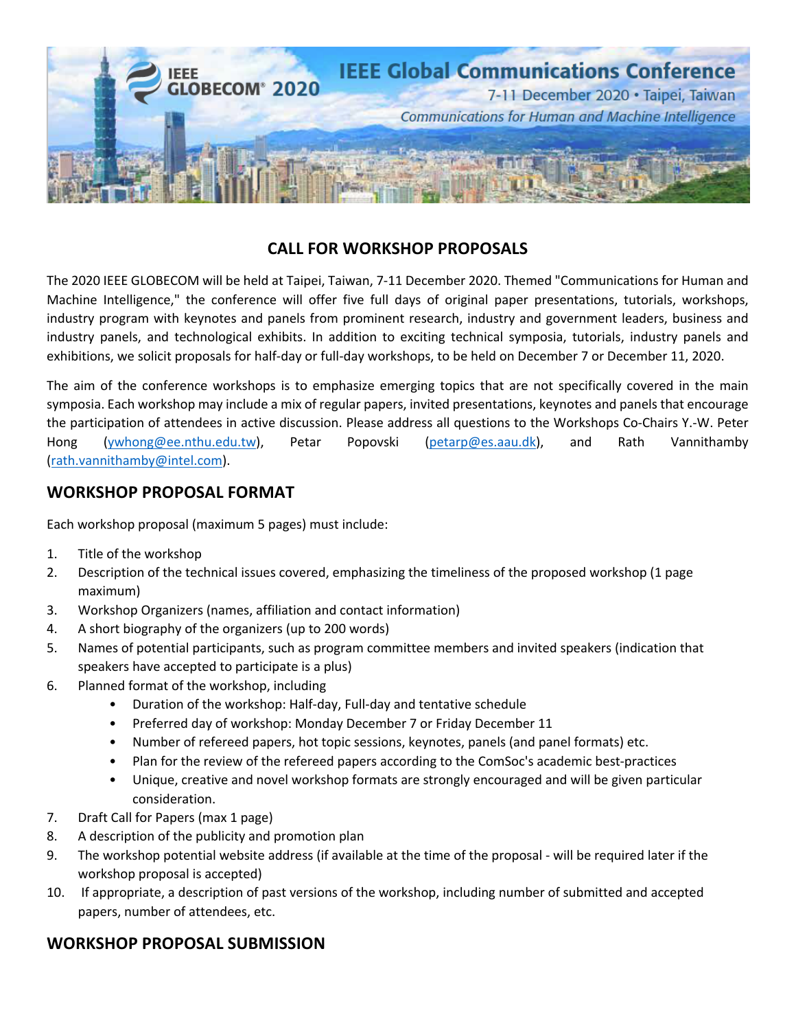

## **CALL FOR WORKSHOP PROPOSALS**

The 2020 IEEE GLOBECOM will be held at Taipei, Taiwan, 7-11 December 2020. Themed "Communications for Human and Machine Intelligence," the conference will offer five full days of original paper presentations, tutorials, workshops, industry program with keynotes and panels from prominent research, industry and government leaders, business and industry panels, and technological exhibits. In addition to exciting technical symposia, tutorials, industry panels and exhibitions, we solicit proposals for half-day or full-day workshops, to be held on December 7 or December 11, 2020.

The aim of the conference workshops is to emphasize emerging topics that are not specifically covered in the main symposia. Each workshop may include a mix of regular papers, invited presentations, keynotes and panels that encourage the participation of attendees in active discussion. Please address all questions to the Workshops Co-Chairs Y.-W. Peter Hong (ywhong@ee.nthu.edu.tw), Petar Popovski (petarp@es.aau.dk), and Rath Vannithamby (rath.vannithamby@intel.com).

## **WORKSHOP PROPOSAL FORMAT**

Each workshop proposal (maximum 5 pages) must include:

- 1. Title of the workshop
- 2. Description of the technical issues covered, emphasizing the timeliness of the proposed workshop (1 page maximum)
- 3. Workshop Organizers (names, affiliation and contact information)
- 4. A short biography of the organizers (up to 200 words)
- 5. Names of potential participants, such as program committee members and invited speakers (indication that speakers have accepted to participate is a plus)
- 6. Planned format of the workshop, including
	- Duration of the workshop: Half-day, Full-day and tentative schedule
	- Preferred day of workshop: Monday December 7 or Friday December 11
	- Number of refereed papers, hot topic sessions, keynotes, panels (and panel formats) etc.
	- Plan for the review of the refereed papers according to the ComSoc's academic best-practices
	- Unique, creative and novel workshop formats are strongly encouraged and will be given particular consideration.
- 7. Draft Call for Papers (max 1 page)
- 8. A description of the publicity and promotion plan
- 9. The workshop potential website address (if available at the time of the proposal will be required later if the workshop proposal is accepted)
- 10. If appropriate, a description of past versions of the workshop, including number of submitted and accepted papers, number of attendees, etc.

## **WORKSHOP PROPOSAL SUBMISSION**